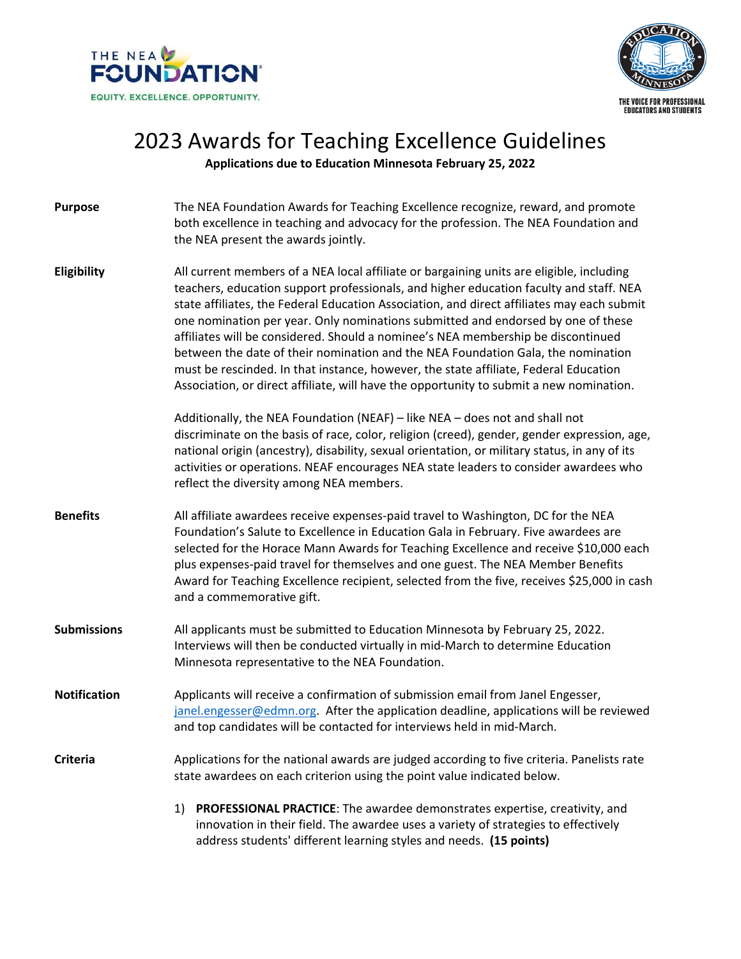



## 2023 Awards for Teaching Excellence Guidelines

**Applications due to Education Minnesota February 25, 2022**

**Purpose** The NEA Foundation Awards for Teaching Excellence recognize, reward, and promote both excellence in teaching and advocacy for the profession. The NEA Foundation and the NEA present the awards jointly. **Eligibility** All current members of a NEA local affiliate or bargaining units are eligible, including teachers, education support professionals, and higher education faculty and staff. NEA state affiliates, the Federal Education Association, and direct affiliates may each submit one nomination per year. Only nominations submitted and endorsed by one of these affiliates will be considered. Should a nominee's NEA membership be discontinued between the date of their nomination and the NEA Foundation Gala, the nomination must be rescinded. In that instance, however, the state affiliate, Federal Education Association, or direct affiliate, will have the opportunity to submit a new nomination. Additionally, the NEA Foundation (NEAF) – like NEA – does not and shall not discriminate on the basis of race, color, religion (creed), gender, gender expression, age, national origin (ancestry), disability, sexual orientation, or military status, in any of its activities or operations. NEAF encourages NEA state leaders to consider awardees who reflect the diversity among NEA members. **Benefits** All affiliate awardees receive expenses-paid travel to Washington, DC for the NEA Foundation's Salute to Excellence in Education Gala in February. Five awardees are selected for the Horace Mann Awards for Teaching Excellence and receive \$10,000 each plus expenses-paid travel for themselves and one guest. The NEA Member Benefits Award for Teaching Excellence recipient, selected from the five, receives \$25,000 in cash and a commemorative gift. **Submissions** All applicants must be submitted to Education Minnesota by February 25, 2022. Interviews will then be conducted virtually in mid-March to determine Education Minnesota representative to the NEA Foundation. **Notification** Applicants will receive a confirmation of submission email from Janel Engesser, [janel.engesser@edmn.org.](mailto:janel.engesser@edmn.org) After the application deadline, applications will be reviewed and top candidates will be contacted for interviews held in mid-March. **Criteria** Applications for the national awards are judged according to five criteria. Panelists rate state awardees on each criterion using the point value indicated below. 1) **PROFESSIONAL PRACTICE**: The awardee demonstrates expertise, creativity, and innovation in their field. The awardee uses a variety of strategies to effectively address students' different learning styles and needs. **(15 points)**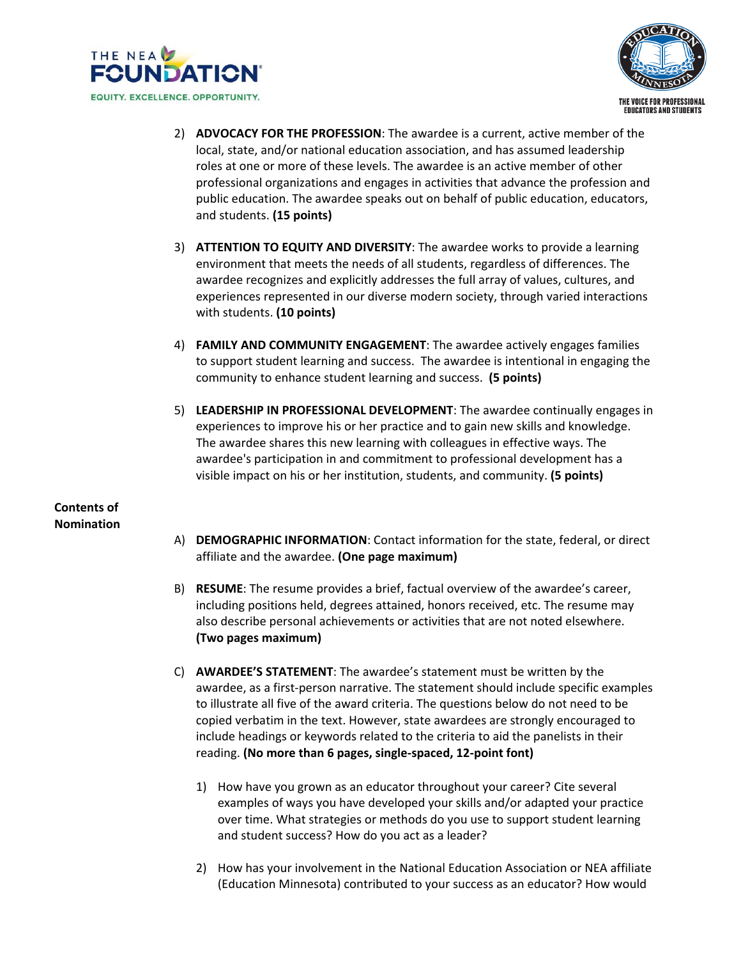



- 2) **ADVOCACY FOR THE PROFESSION**: The awardee is a current, active member of the local, state, and/or national education association, and has assumed leadership roles at one or more of these levels. The awardee is an active member of other professional organizations and engages in activities that advance the profession and public education. The awardee speaks out on behalf of public education, educators, and students. **(15 points)**
- 3) **ATTENTION TO EQUITY AND DIVERSITY**: The awardee works to provide a learning environment that meets the needs of all students, regardless of differences. The awardee recognizes and explicitly addresses the full array of values, cultures, and experiences represented in our diverse modern society, through varied interactions with students. **(10 points)**
- 4) **FAMILY AND COMMUNITY ENGAGEMENT**: The awardee actively engages families to support student learning and success. The awardee is intentional in engaging the community to enhance student learning and success. **(5 points)**
- 5) **LEADERSHIP IN PROFESSIONAL DEVELOPMENT**: The awardee continually engages in experiences to improve his or her practice and to gain new skills and knowledge. The awardee shares this new learning with colleagues in effective ways. The awardee's participation in and commitment to professional development has a visible impact on his or her institution, students, and community. **(5 points)**

**Contents of Nomination**

- A) **DEMOGRAPHIC INFORMATION**: Contact information for the state, federal, or direct affiliate and the awardee. **(One page maximum)**
- B) **RESUME**: The resume provides a brief, factual overview of the awardee's career, including positions held, degrees attained, honors received, etc. The resume may also describe personal achievements or activities that are not noted elsewhere. **(Two pages maximum)**
- C) **AWARDEE'S STATEMENT**: The awardee's statement must be written by the awardee, as a first-person narrative. The statement should include specific examples to illustrate all five of the award criteria. The questions below do not need to be copied verbatim in the text. However, state awardees are strongly encouraged to include headings or keywords related to the criteria to aid the panelists in their reading. **(No more than 6 pages, single-spaced, 12-point font)**
	- 1) How have you grown as an educator throughout your career? Cite several examples of ways you have developed your skills and/or adapted your practice over time. What strategies or methods do you use to support student learning and student success? How do you act as a leader?
	- 2) How has your involvement in the National Education Association or NEA affiliate (Education Minnesota) contributed to your success as an educator? How would